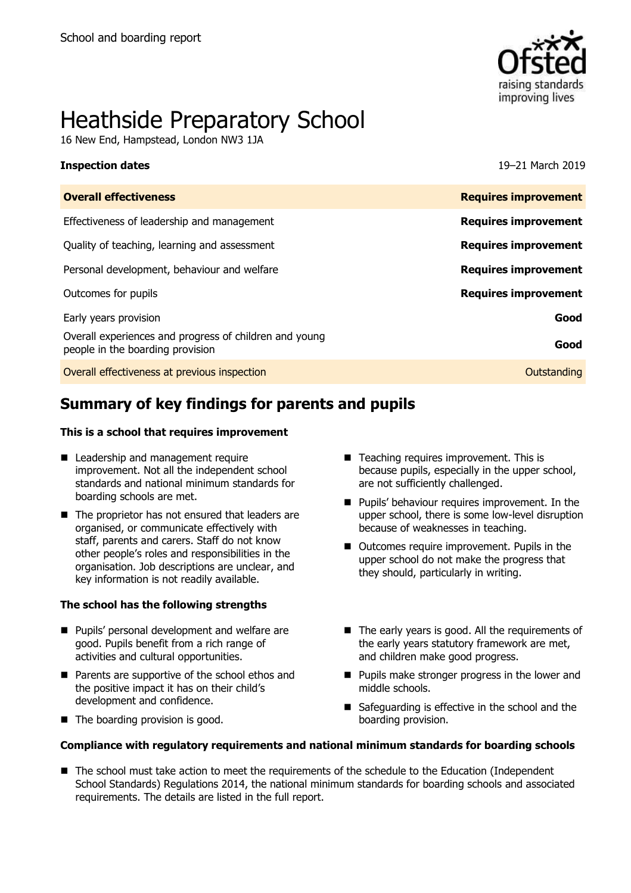

# Heathside Preparatory School

16 New End, Hampstead, London NW3 1JA

#### **Inspection dates** 19–21 March 2019

| <b>Overall effectiveness</b>                                                               | <b>Requires improvement</b> |
|--------------------------------------------------------------------------------------------|-----------------------------|
| Effectiveness of leadership and management                                                 | <b>Requires improvement</b> |
| Quality of teaching, learning and assessment                                               | <b>Requires improvement</b> |
| Personal development, behaviour and welfare                                                | <b>Requires improvement</b> |
| Outcomes for pupils                                                                        | <b>Requires improvement</b> |
| Early years provision                                                                      | Good                        |
| Overall experiences and progress of children and young<br>people in the boarding provision | Good                        |
| Overall effectiveness at previous inspection                                               | Outstanding                 |
|                                                                                            |                             |

# **Summary of key findings for parents and pupils**

#### **This is a school that requires improvement**

- Leadership and management require improvement. Not all the independent school standards and national minimum standards for boarding schools are met.
- The proprietor has not ensured that leaders are organised, or communicate effectively with staff, parents and carers. Staff do not know other people's roles and responsibilities in the organisation. Job descriptions are unclear, and key information is not readily available.

#### **The school has the following strengths**

- **Pupils' personal development and welfare are** good. Pupils benefit from a rich range of activities and cultural opportunities.
- Parents are supportive of the school ethos and the positive impact it has on their child's development and confidence.
- The boarding provision is good.
- Teaching requires improvement. This is because pupils, especially in the upper school, are not sufficiently challenged.
- **Pupils' behaviour requires improvement. In the** upper school, there is some low-level disruption because of weaknesses in teaching.
- Outcomes require improvement. Pupils in the upper school do not make the progress that they should, particularly in writing.
- The early years is good. All the requirements of the early years statutory framework are met, and children make good progress.
- **Pupils make stronger progress in the lower and** middle schools.
- Safeguarding is effective in the school and the boarding provision.

#### **Compliance with regulatory requirements and national minimum standards for boarding schools**

■ The school must take action to meet the requirements of the schedule to the Education (Independent School Standards) Regulations 2014, the national minimum standards for boarding schools and associated requirements. The details are listed in the full report.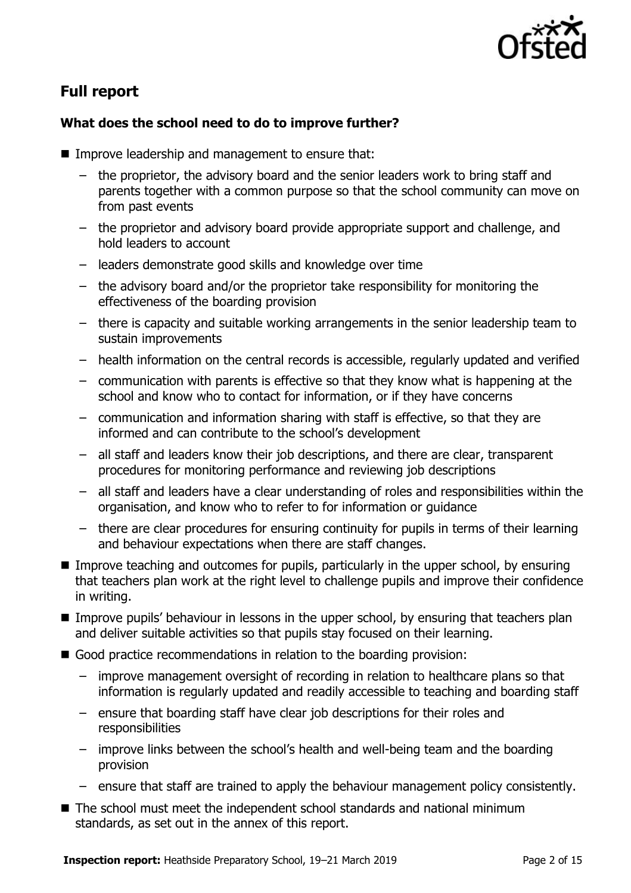

# **Full report**

### **What does the school need to do to improve further?**

- Improve leadership and management to ensure that:
	- the proprietor, the advisory board and the senior leaders work to bring staff and parents together with a common purpose so that the school community can move on from past events
	- the proprietor and advisory board provide appropriate support and challenge, and hold leaders to account
	- leaders demonstrate good skills and knowledge over time
	- the advisory board and/or the proprietor take responsibility for monitoring the effectiveness of the boarding provision
	- there is capacity and suitable working arrangements in the senior leadership team to sustain improvements
	- health information on the central records is accessible, regularly updated and verified
	- communication with parents is effective so that they know what is happening at the school and know who to contact for information, or if they have concerns
	- communication and information sharing with staff is effective, so that they are informed and can contribute to the school's development
	- all staff and leaders know their job descriptions, and there are clear, transparent procedures for monitoring performance and reviewing job descriptions
	- all staff and leaders have a clear understanding of roles and responsibilities within the organisation, and know who to refer to for information or guidance
	- there are clear procedures for ensuring continuity for pupils in terms of their learning and behaviour expectations when there are staff changes.
- **IMPROVE THE 11 Improve teaching and outcomes for pupils, particularly in the upper school, by ensuring** that teachers plan work at the right level to challenge pupils and improve their confidence in writing.
- **IMPROVE PUPILE** Interpretion in lessons in the upper school, by ensuring that teachers plan and deliver suitable activities so that pupils stay focused on their learning.
- Good practice recommendations in relation to the boarding provision:
	- improve management oversight of recording in relation to healthcare plans so that information is regularly updated and readily accessible to teaching and boarding staff
	- ensure that boarding staff have clear job descriptions for their roles and responsibilities
	- improve links between the school's health and well-being team and the boarding provision
	- ensure that staff are trained to apply the behaviour management policy consistently.
- The school must meet the independent school standards and national minimum standards, as set out in the annex of this report.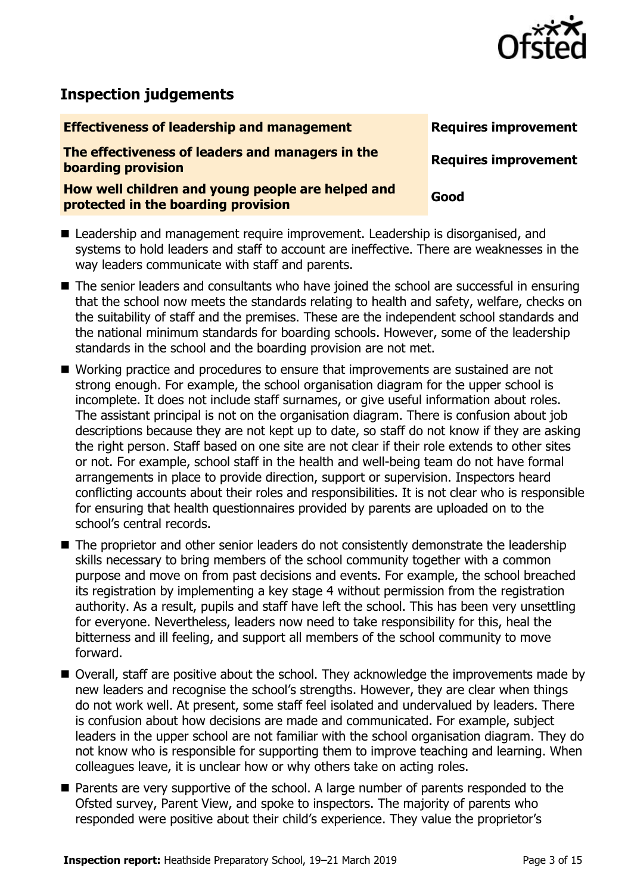

# **Inspection judgements**

# **Effectiveness of leadership and management Requires improvement The effectiveness of leaders and managers in the boarding provision**<br>**boarding** provision **How well children and young people are helped and protected in the boarding provision**

- Leadership and management require improvement. Leadership is disorganised, and systems to hold leaders and staff to account are ineffective. There are weaknesses in the way leaders communicate with staff and parents.
- The senior leaders and consultants who have joined the school are successful in ensuring that the school now meets the standards relating to health and safety, welfare, checks on the suitability of staff and the premises. These are the independent school standards and the national minimum standards for boarding schools. However, some of the leadership standards in the school and the boarding provision are not met.
- Working practice and procedures to ensure that improvements are sustained are not strong enough. For example, the school organisation diagram for the upper school is incomplete. It does not include staff surnames, or give useful information about roles. The assistant principal is not on the organisation diagram. There is confusion about job descriptions because they are not kept up to date, so staff do not know if they are asking the right person. Staff based on one site are not clear if their role extends to other sites or not. For example, school staff in the health and well-being team do not have formal arrangements in place to provide direction, support or supervision. Inspectors heard conflicting accounts about their roles and responsibilities. It is not clear who is responsible for ensuring that health questionnaires provided by parents are uploaded on to the school's central records.
- The proprietor and other senior leaders do not consistently demonstrate the leadership skills necessary to bring members of the school community together with a common purpose and move on from past decisions and events. For example, the school breached its registration by implementing a key stage 4 without permission from the registration authority. As a result, pupils and staff have left the school. This has been very unsettling for everyone. Nevertheless, leaders now need to take responsibility for this, heal the bitterness and ill feeling, and support all members of the school community to move forward.
- Overall, staff are positive about the school. They acknowledge the improvements made by new leaders and recognise the school's strengths. However, they are clear when things do not work well. At present, some staff feel isolated and undervalued by leaders. There is confusion about how decisions are made and communicated. For example, subject leaders in the upper school are not familiar with the school organisation diagram. They do not know who is responsible for supporting them to improve teaching and learning. When colleagues leave, it is unclear how or why others take on acting roles.
- **Parents are very supportive of the school. A large number of parents responded to the** Ofsted survey, Parent View, and spoke to inspectors. The majority of parents who responded were positive about their child's experience. They value the proprietor's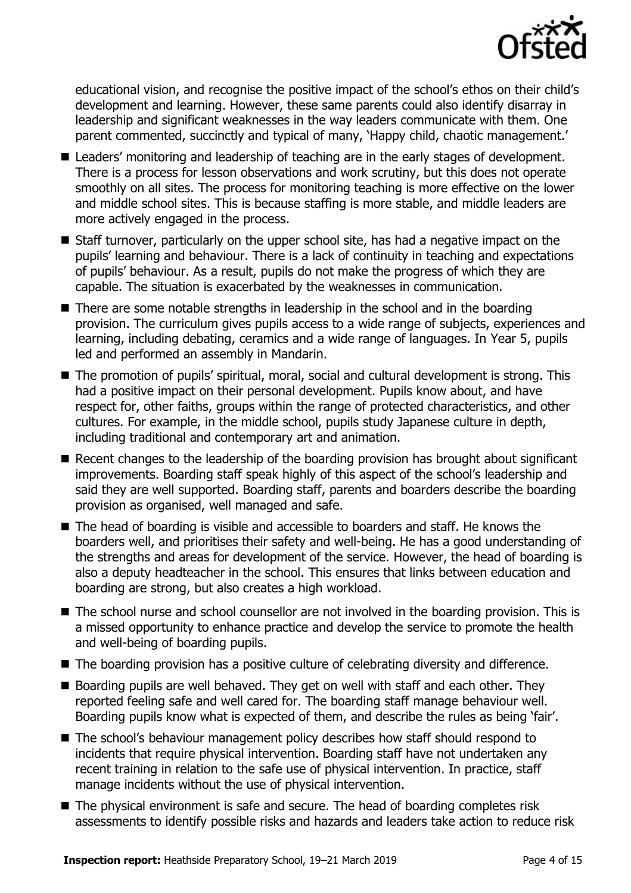

educational vision, and recognise the positive impact of the school's ethos on their child's development and learning. However, these same parents could also identify disarray in leadership and significant weaknesses in the way leaders communicate with them. One parent commented, succinctly and typical of many, 'Happy child, chaotic management.'

- Leaders' monitoring and leadership of teaching are in the early stages of development. There is a process for lesson observations and work scrutiny, but this does not operate smoothly on all sites. The process for monitoring teaching is more effective on the lower and middle school sites. This is because staffing is more stable, and middle leaders are more actively engaged in the process.
- Staff turnover, particularly on the upper school site, has had a negative impact on the pupils' learning and behaviour. There is a lack of continuity in teaching and expectations of pupils' behaviour. As a result, pupils do not make the progress of which they are capable. The situation is exacerbated by the weaknesses in communication.
- There are some notable strengths in leadership in the school and in the boarding provision. The curriculum gives pupils access to a wide range of subjects, experiences and learning, including debating, ceramics and a wide range of languages. In Year 5, pupils led and performed an assembly in Mandarin.
- The promotion of pupils' spiritual, moral, social and cultural development is strong. This had a positive impact on their personal development. Pupils know about, and have respect for, other faiths, groups within the range of protected characteristics, and other cultures. For example, in the middle school, pupils study Japanese culture in depth, including traditional and contemporary art and animation.
- Recent changes to the leadership of the boarding provision has brought about significant improvements. Boarding staff speak highly of this aspect of the school's leadership and said they are well supported. Boarding staff, parents and boarders describe the boarding provision as organised, well managed and safe.
- The head of boarding is visible and accessible to boarders and staff. He knows the boarders well, and prioritises their safety and well-being. He has a good understanding of the strengths and areas for development of the service. However, the head of boarding is also a deputy headteacher in the school. This ensures that links between education and boarding are strong, but also creates a high workload.
- The school nurse and school counsellor are not involved in the boarding provision. This is a missed opportunity to enhance practice and develop the service to promote the health and well-being of boarding pupils.
- The boarding provision has a positive culture of celebrating diversity and difference.
- Boarding pupils are well behaved. They get on well with staff and each other. They reported feeling safe and well cared for. The boarding staff manage behaviour well. Boarding pupils know what is expected of them, and describe the rules as being 'fair'.
- The school's behaviour management policy describes how staff should respond to incidents that require physical intervention. Boarding staff have not undertaken any recent training in relation to the safe use of physical intervention. In practice, staff manage incidents without the use of physical intervention.
- The physical environment is safe and secure. The head of boarding completes risk assessments to identify possible risks and hazards and leaders take action to reduce risk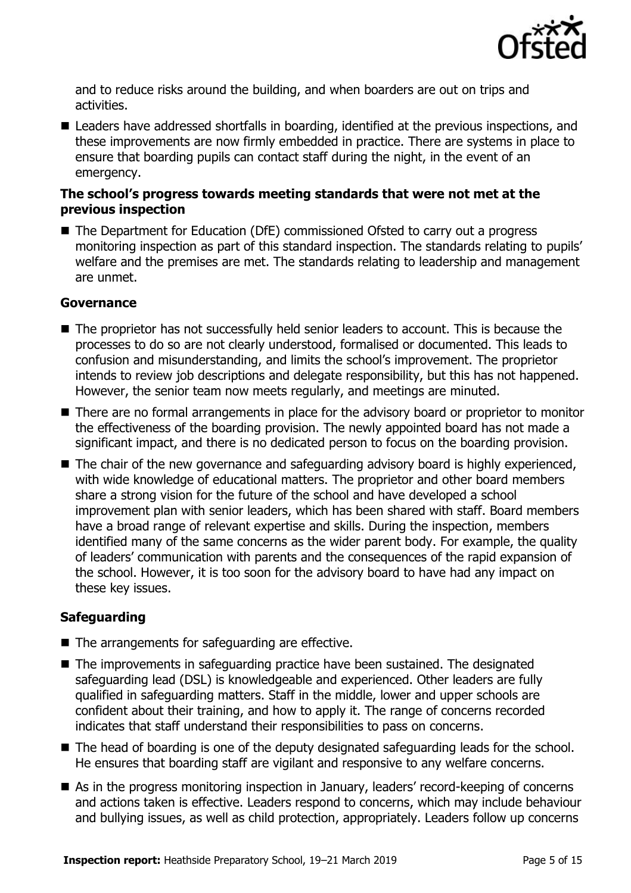

and to reduce risks around the building, and when boarders are out on trips and activities.

■ Leaders have addressed shortfalls in boarding, identified at the previous inspections, and these improvements are now firmly embedded in practice. There are systems in place to ensure that boarding pupils can contact staff during the night, in the event of an emergency.

#### **The school's progress towards meeting standards that were not met at the previous inspection**

■ The Department for Education (DfE) commissioned Ofsted to carry out a progress monitoring inspection as part of this standard inspection. The standards relating to pupils' welfare and the premises are met. The standards relating to leadership and management are unmet.

#### **Governance**

- The proprietor has not successfully held senior leaders to account. This is because the processes to do so are not clearly understood, formalised or documented. This leads to confusion and misunderstanding, and limits the school's improvement. The proprietor intends to review job descriptions and delegate responsibility, but this has not happened. However, the senior team now meets regularly, and meetings are minuted.
- There are no formal arrangements in place for the advisory board or proprietor to monitor the effectiveness of the boarding provision. The newly appointed board has not made a significant impact, and there is no dedicated person to focus on the boarding provision.
- The chair of the new governance and safeguarding advisory board is highly experienced, with wide knowledge of educational matters. The proprietor and other board members share a strong vision for the future of the school and have developed a school improvement plan with senior leaders, which has been shared with staff. Board members have a broad range of relevant expertise and skills. During the inspection, members identified many of the same concerns as the wider parent body. For example, the quality of leaders' communication with parents and the consequences of the rapid expansion of the school. However, it is too soon for the advisory board to have had any impact on these key issues.

#### **Safeguarding**

- The arrangements for safeguarding are effective.
- The improvements in safeguarding practice have been sustained. The designated safeguarding lead (DSL) is knowledgeable and experienced. Other leaders are fully qualified in safeguarding matters. Staff in the middle, lower and upper schools are confident about their training, and how to apply it. The range of concerns recorded indicates that staff understand their responsibilities to pass on concerns.
- The head of boarding is one of the deputy designated safeguarding leads for the school. He ensures that boarding staff are vigilant and responsive to any welfare concerns.
- As in the progress monitoring inspection in January, leaders' record-keeping of concerns and actions taken is effective. Leaders respond to concerns, which may include behaviour and bullying issues, as well as child protection, appropriately. Leaders follow up concerns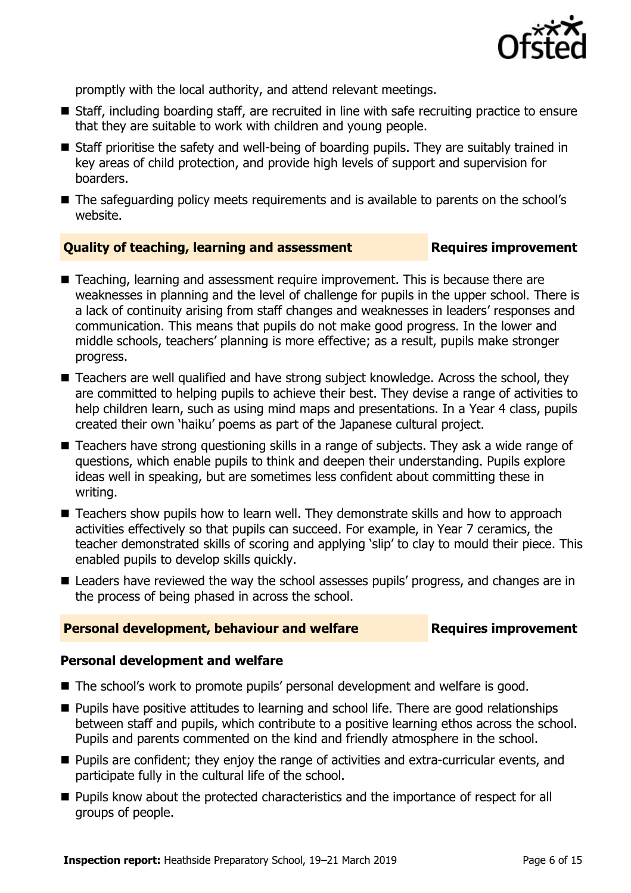

promptly with the local authority, and attend relevant meetings.

- Staff, including boarding staff, are recruited in line with safe recruiting practice to ensure that they are suitable to work with children and young people.
- Staff prioritise the safety and well-being of boarding pupils. They are suitably trained in key areas of child protection, and provide high levels of support and supervision for boarders.
- The safeguarding policy meets requirements and is available to parents on the school's website.

#### **Quality of teaching, learning and assessment <b>Requires improvement**

- Teaching, learning and assessment require improvement. This is because there are weaknesses in planning and the level of challenge for pupils in the upper school. There is a lack of continuity arising from staff changes and weaknesses in leaders' responses and communication. This means that pupils do not make good progress. In the lower and middle schools, teachers' planning is more effective; as a result, pupils make stronger progress.
- Teachers are well qualified and have strong subject knowledge. Across the school, they are committed to helping pupils to achieve their best. They devise a range of activities to help children learn, such as using mind maps and presentations. In a Year 4 class, pupils created their own 'haiku' poems as part of the Japanese cultural project.
- Teachers have strong questioning skills in a range of subjects. They ask a wide range of questions, which enable pupils to think and deepen their understanding. Pupils explore ideas well in speaking, but are sometimes less confident about committing these in writing.
- Teachers show pupils how to learn well. They demonstrate skills and how to approach activities effectively so that pupils can succeed. For example, in Year 7 ceramics, the teacher demonstrated skills of scoring and applying 'slip' to clay to mould their piece. This enabled pupils to develop skills quickly.
- Leaders have reviewed the way the school assesses pupils' progress, and changes are in the process of being phased in across the school.

#### **Personal development, behaviour and welfare <b>Requires improvement**

#### **Personal development and welfare**

- The school's work to promote pupils' personal development and welfare is good.
- **Pupils have positive attitudes to learning and school life. There are good relationships** between staff and pupils, which contribute to a positive learning ethos across the school. Pupils and parents commented on the kind and friendly atmosphere in the school.
- **Pupils are confident; they enjoy the range of activities and extra-curricular events, and** participate fully in the cultural life of the school.
- **Pupils know about the protected characteristics and the importance of respect for all** groups of people.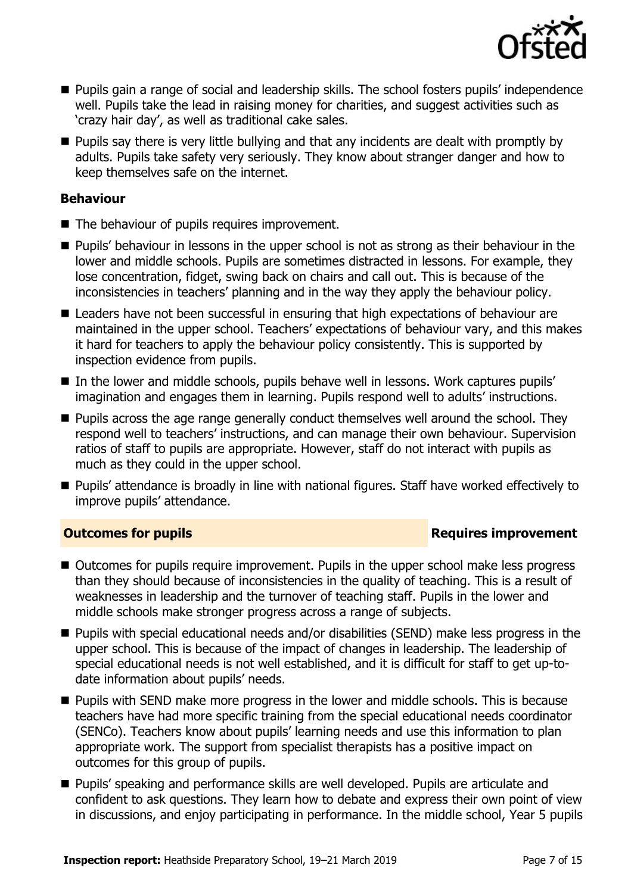

- **Pupils gain a range of social and leadership skills. The school fosters pupils' independence** well. Pupils take the lead in raising money for charities, and suggest activities such as 'crazy hair day', as well as traditional cake sales.
- $\blacksquare$  Pupils say there is very little bullying and that any incidents are dealt with promptly by adults. Pupils take safety very seriously. They know about stranger danger and how to keep themselves safe on the internet.

#### **Behaviour**

- The behaviour of pupils requires improvement.
- **Pupils'** behaviour in lessons in the upper school is not as strong as their behaviour in the lower and middle schools. Pupils are sometimes distracted in lessons. For example, they lose concentration, fidget, swing back on chairs and call out. This is because of the inconsistencies in teachers' planning and in the way they apply the behaviour policy.
- Leaders have not been successful in ensuring that high expectations of behaviour are maintained in the upper school. Teachers' expectations of behaviour vary, and this makes it hard for teachers to apply the behaviour policy consistently. This is supported by inspection evidence from pupils.
- In the lower and middle schools, pupils behave well in lessons. Work captures pupils' imagination and engages them in learning. Pupils respond well to adults' instructions.
- **Pupils across the age range generally conduct themselves well around the school. They** respond well to teachers' instructions, and can manage their own behaviour. Supervision ratios of staff to pupils are appropriate. However, staff do not interact with pupils as much as they could in the upper school.
- Pupils' attendance is broadly in line with national figures. Staff have worked effectively to improve pupils' attendance.

#### **Outcomes for pupils Requires improvement**

- Outcomes for pupils require improvement. Pupils in the upper school make less progress than they should because of inconsistencies in the quality of teaching. This is a result of weaknesses in leadership and the turnover of teaching staff. Pupils in the lower and middle schools make stronger progress across a range of subjects.
- Pupils with special educational needs and/or disabilities (SEND) make less progress in the upper school. This is because of the impact of changes in leadership. The leadership of special educational needs is not well established, and it is difficult for staff to get up-todate information about pupils' needs.
- **Pupils with SEND make more progress in the lower and middle schools. This is because** teachers have had more specific training from the special educational needs coordinator (SENCo). Teachers know about pupils' learning needs and use this information to plan appropriate work. The support from specialist therapists has a positive impact on outcomes for this group of pupils.
- **Pupils'** speaking and performance skills are well developed. Pupils are articulate and confident to ask questions. They learn how to debate and express their own point of view in discussions, and enjoy participating in performance. In the middle school, Year 5 pupils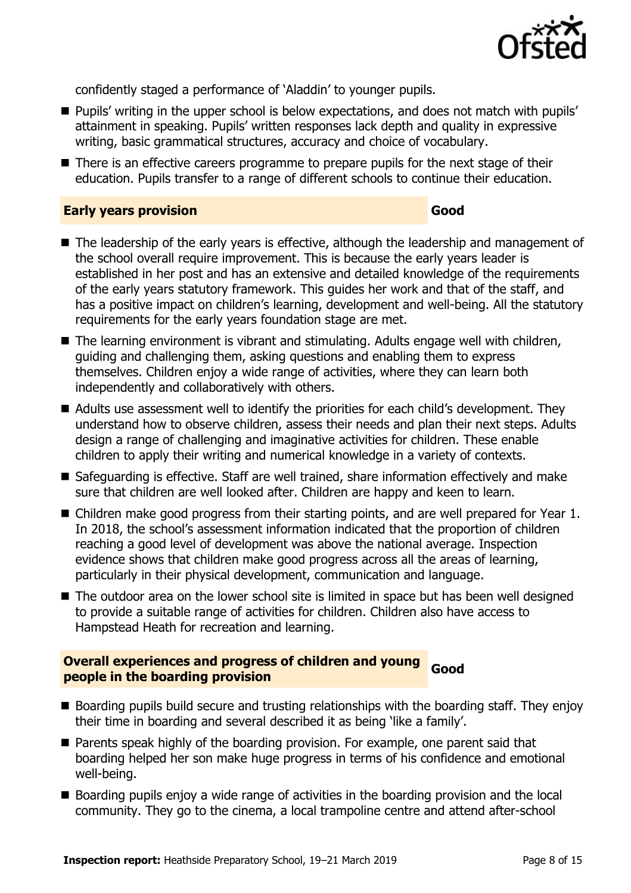

confidently staged a performance of 'Aladdin' to younger pupils.

- **Pupils' writing in the upper school is below expectations, and does not match with pupils'** attainment in speaking. Pupils' written responses lack depth and quality in expressive writing, basic grammatical structures, accuracy and choice of vocabulary.
- There is an effective careers programme to prepare pupils for the next stage of their education. Pupils transfer to a range of different schools to continue their education.

#### **Early years provision Good Good**

- The leadership of the early years is effective, although the leadership and management of the school overall require improvement. This is because the early years leader is established in her post and has an extensive and detailed knowledge of the requirements of the early years statutory framework. This guides her work and that of the staff, and has a positive impact on children's learning, development and well-being. All the statutory requirements for the early years foundation stage are met.
- The learning environment is vibrant and stimulating. Adults engage well with children, guiding and challenging them, asking questions and enabling them to express themselves. Children enjoy a wide range of activities, where they can learn both independently and collaboratively with others.
- Adults use assessment well to identify the priorities for each child's development. They understand how to observe children, assess their needs and plan their next steps. Adults design a range of challenging and imaginative activities for children. These enable children to apply their writing and numerical knowledge in a variety of contexts.
- Safeguarding is effective. Staff are well trained, share information effectively and make sure that children are well looked after. Children are happy and keen to learn.
- Children make good progress from their starting points, and are well prepared for Year 1. In 2018, the school's assessment information indicated that the proportion of children reaching a good level of development was above the national average. Inspection evidence shows that children make good progress across all the areas of learning, particularly in their physical development, communication and language.
- The outdoor area on the lower school site is limited in space but has been well designed to provide a suitable range of activities for children. Children also have access to Hampstead Heath for recreation and learning.

# **Overall experiences and progress of children and young people in the boarding provision Good**

- Boarding pupils build secure and trusting relationships with the boarding staff. They enjoy their time in boarding and several described it as being 'like a family'.
- **Parents speak highly of the boarding provision. For example, one parent said that** boarding helped her son make huge progress in terms of his confidence and emotional well-being.
- Boarding pupils enjoy a wide range of activities in the boarding provision and the local community. They go to the cinema, a local trampoline centre and attend after-school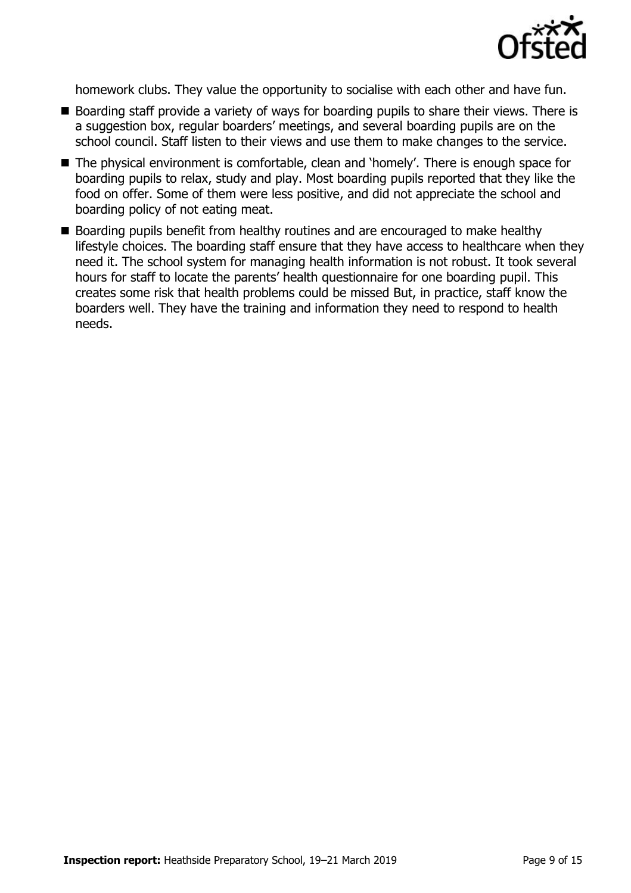

homework clubs. They value the opportunity to socialise with each other and have fun.

- Boarding staff provide a variety of ways for boarding pupils to share their views. There is a suggestion box, regular boarders' meetings, and several boarding pupils are on the school council. Staff listen to their views and use them to make changes to the service.
- The physical environment is comfortable, clean and 'homely'. There is enough space for boarding pupils to relax, study and play. Most boarding pupils reported that they like the food on offer. Some of them were less positive, and did not appreciate the school and boarding policy of not eating meat.
- Boarding pupils benefit from healthy routines and are encouraged to make healthy lifestyle choices. The boarding staff ensure that they have access to healthcare when they need it. The school system for managing health information is not robust. It took several hours for staff to locate the parents' health questionnaire for one boarding pupil. This creates some risk that health problems could be missed But, in practice, staff know the boarders well. They have the training and information they need to respond to health needs.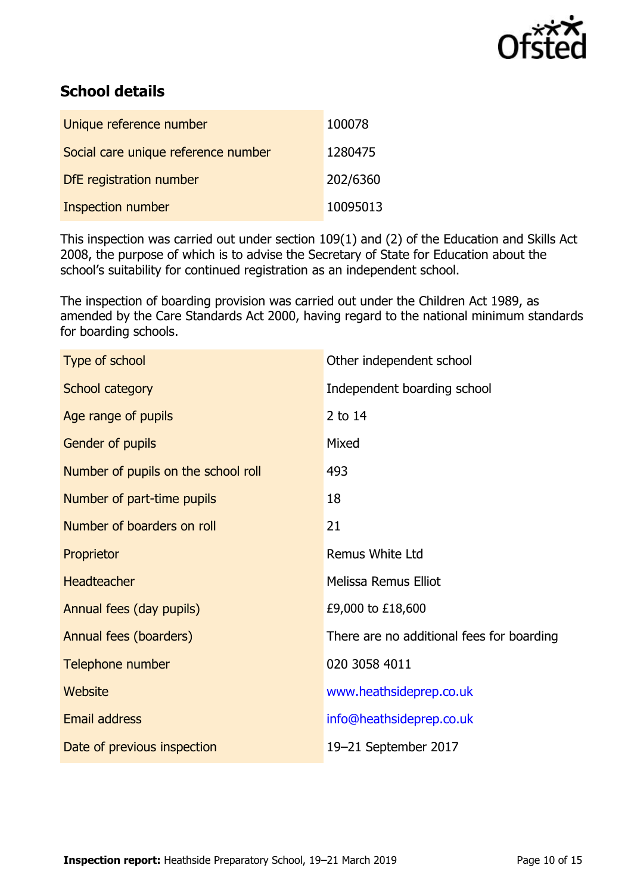

# **School details**

| Unique reference number             | 100078   |
|-------------------------------------|----------|
| Social care unique reference number | 1280475  |
| DfE registration number             | 202/6360 |
| Inspection number                   | 10095013 |

This inspection was carried out under section 109(1) and (2) of the Education and Skills Act 2008, the purpose of which is to advise the Secretary of State for Education about the school's suitability for continued registration as an independent school.

The inspection of boarding provision was carried out under the Children Act 1989, as amended by the Care Standards Act 2000, having regard to the national minimum standards for boarding schools.

| Type of school                      | Other independent school                  |
|-------------------------------------|-------------------------------------------|
| School category                     | Independent boarding school               |
| Age range of pupils                 | 2 to 14                                   |
| Gender of pupils                    | Mixed                                     |
| Number of pupils on the school roll | 493                                       |
| Number of part-time pupils          | 18                                        |
| Number of boarders on roll          | 21                                        |
| Proprietor                          | Remus White Ltd                           |
| <b>Headteacher</b>                  | Melissa Remus Elliot                      |
| Annual fees (day pupils)            | £9,000 to £18,600                         |
| Annual fees (boarders)              | There are no additional fees for boarding |
| Telephone number                    | 020 3058 4011                             |
| <b>Website</b>                      | www.heathsideprep.co.uk                   |
| <b>Email address</b>                | info@heathsideprep.co.uk                  |
| Date of previous inspection         | 19-21 September 2017                      |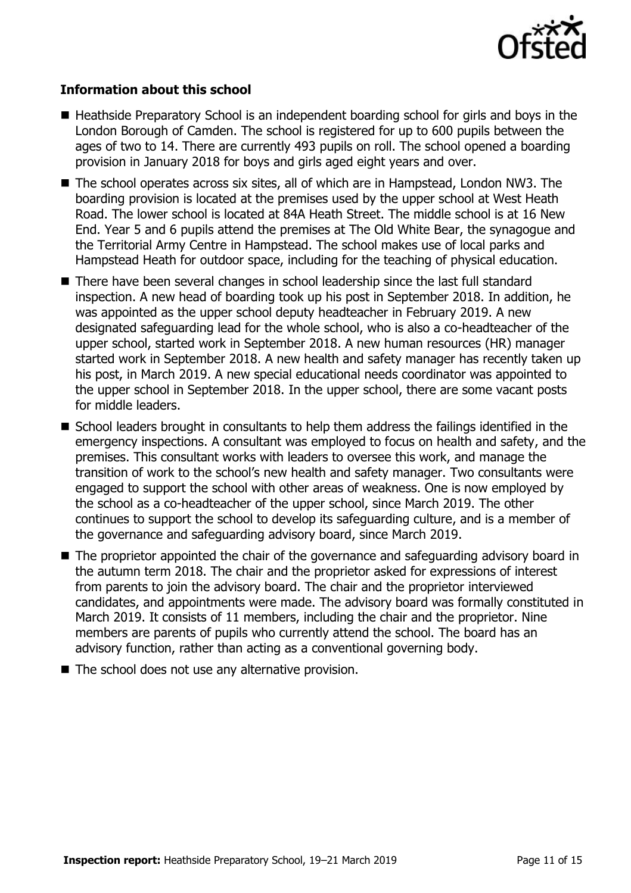

#### **Information about this school**

- Heathside Preparatory School is an independent boarding school for girls and boys in the London Borough of Camden. The school is registered for up to 600 pupils between the ages of two to 14. There are currently 493 pupils on roll. The school opened a boarding provision in January 2018 for boys and girls aged eight years and over.
- The school operates across six sites, all of which are in Hampstead, London NW3. The boarding provision is located at the premises used by the upper school at West Heath Road. The lower school is located at 84A Heath Street. The middle school is at 16 New End. Year 5 and 6 pupils attend the premises at The Old White Bear, the synagogue and the Territorial Army Centre in Hampstead. The school makes use of local parks and Hampstead Heath for outdoor space, including for the teaching of physical education.
- There have been several changes in school leadership since the last full standard inspection. A new head of boarding took up his post in September 2018. In addition, he was appointed as the upper school deputy headteacher in February 2019. A new designated safeguarding lead for the whole school, who is also a co-headteacher of the upper school, started work in September 2018. A new human resources (HR) manager started work in September 2018. A new health and safety manager has recently taken up his post, in March 2019. A new special educational needs coordinator was appointed to the upper school in September 2018. In the upper school, there are some vacant posts for middle leaders.
- School leaders brought in consultants to help them address the failings identified in the emergency inspections. A consultant was employed to focus on health and safety, and the premises. This consultant works with leaders to oversee this work, and manage the transition of work to the school's new health and safety manager. Two consultants were engaged to support the school with other areas of weakness. One is now employed by the school as a co-headteacher of the upper school, since March 2019. The other continues to support the school to develop its safeguarding culture, and is a member of the governance and safeguarding advisory board, since March 2019.
- The proprietor appointed the chair of the governance and safeguarding advisory board in the autumn term 2018. The chair and the proprietor asked for expressions of interest from parents to join the advisory board. The chair and the proprietor interviewed candidates, and appointments were made. The advisory board was formally constituted in March 2019. It consists of 11 members, including the chair and the proprietor. Nine members are parents of pupils who currently attend the school. The board has an advisory function, rather than acting as a conventional governing body.
- The school does not use any alternative provision.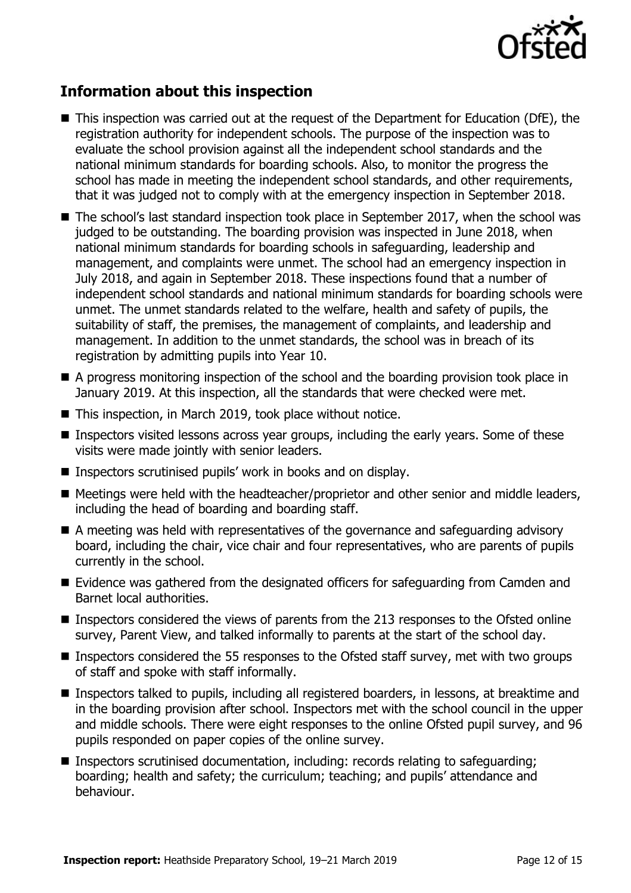

## **Information about this inspection**

- This inspection was carried out at the request of the Department for Education (DfE), the registration authority for independent schools. The purpose of the inspection was to evaluate the school provision against all the independent school standards and the national minimum standards for boarding schools. Also, to monitor the progress the school has made in meeting the independent school standards, and other requirements, that it was judged not to comply with at the emergency inspection in September 2018.
- The school's last standard inspection took place in September 2017, when the school was judged to be outstanding. The boarding provision was inspected in June 2018, when national minimum standards for boarding schools in safeguarding, leadership and management, and complaints were unmet. The school had an emergency inspection in July 2018, and again in September 2018. These inspections found that a number of independent school standards and national minimum standards for boarding schools were unmet. The unmet standards related to the welfare, health and safety of pupils, the suitability of staff, the premises, the management of complaints, and leadership and management. In addition to the unmet standards, the school was in breach of its registration by admitting pupils into Year 10.
- A progress monitoring inspection of the school and the boarding provision took place in January 2019. At this inspection, all the standards that were checked were met.
- This inspection, in March 2019, took place without notice.
- Inspectors visited lessons across year groups, including the early years. Some of these visits were made jointly with senior leaders.
- Inspectors scrutinised pupils' work in books and on display.
- Meetings were held with the headteacher/proprietor and other senior and middle leaders, including the head of boarding and boarding staff.
- A meeting was held with representatives of the governance and safeguarding advisory board, including the chair, vice chair and four representatives, who are parents of pupils currently in the school.
- Evidence was gathered from the designated officers for safeguarding from Camden and Barnet local authorities.
- **Inspectors considered the views of parents from the 213 responses to the Ofsted online** survey, Parent View, and talked informally to parents at the start of the school day.
- **Inspectors considered the 55 responses to the Ofsted staff survey, met with two groups** of staff and spoke with staff informally.
- Inspectors talked to pupils, including all registered boarders, in lessons, at breaktime and in the boarding provision after school. Inspectors met with the school council in the upper and middle schools. There were eight responses to the online Ofsted pupil survey, and 96 pupils responded on paper copies of the online survey.
- Inspectors scrutinised documentation, including: records relating to safeguarding; boarding; health and safety; the curriculum; teaching; and pupils' attendance and behaviour.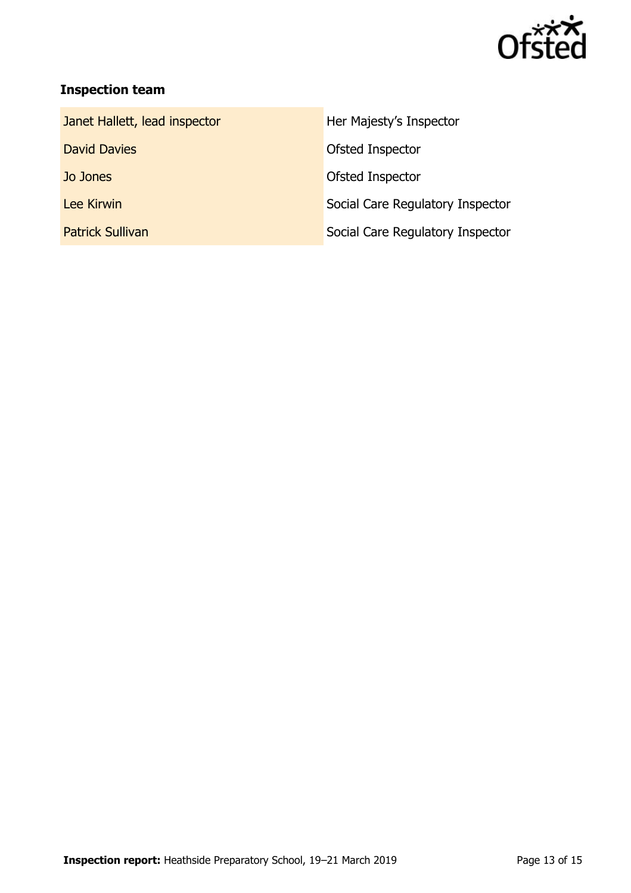

# **Inspection team**

| Janet Hallett, lead inspector | Her Majesty's Inspector          |
|-------------------------------|----------------------------------|
| <b>David Davies</b>           | Ofsted Inspector                 |
| Jo Jones                      | Ofsted Inspector                 |
| Lee Kirwin                    | Social Care Regulatory Inspector |
| <b>Patrick Sullivan</b>       | Social Care Regulatory Inspector |
|                               |                                  |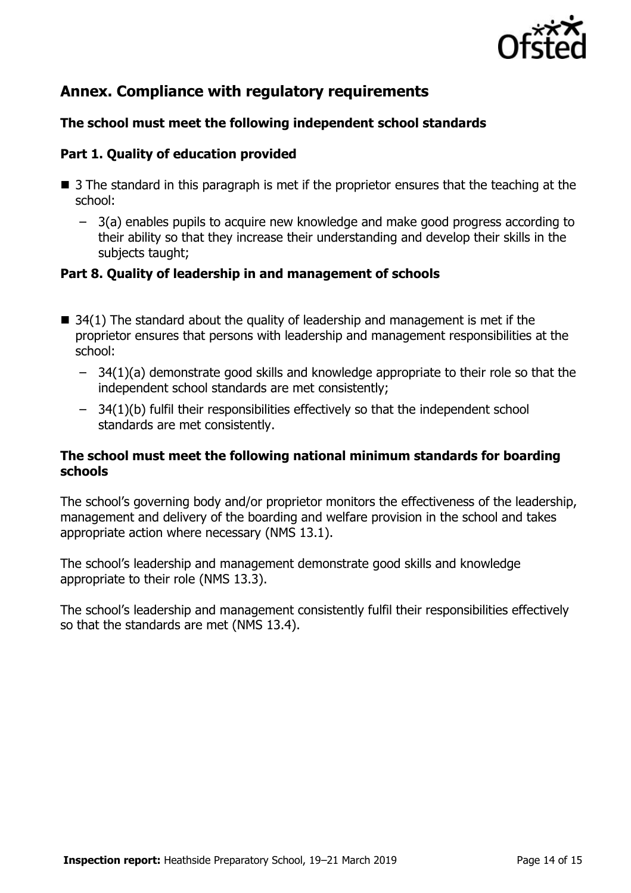

# **Annex. Compliance with regulatory requirements**

### **The school must meet the following independent school standards**

### **Part 1. Quality of education provided**

- 3 The standard in this paragraph is met if the proprietor ensures that the teaching at the school:
	- 3(a) enables pupils to acquire new knowledge and make good progress according to their ability so that they increase their understanding and develop their skills in the subjects taught;

### **Part 8. Quality of leadership in and management of schools**

- $\blacksquare$  34(1) The standard about the quality of leadership and management is met if the proprietor ensures that persons with leadership and management responsibilities at the school:
	- 34(1)(a) demonstrate good skills and knowledge appropriate to their role so that the independent school standards are met consistently;
	- 34(1)(b) fulfil their responsibilities effectively so that the independent school standards are met consistently.

#### **The school must meet the following national minimum standards for boarding schools**

The school's governing body and/or proprietor monitors the effectiveness of the leadership, management and delivery of the boarding and welfare provision in the school and takes appropriate action where necessary (NMS 13.1).

The school's leadership and management demonstrate good skills and knowledge appropriate to their role (NMS 13.3).

The school's leadership and management consistently fulfil their responsibilities effectively so that the standards are met (NMS 13.4).